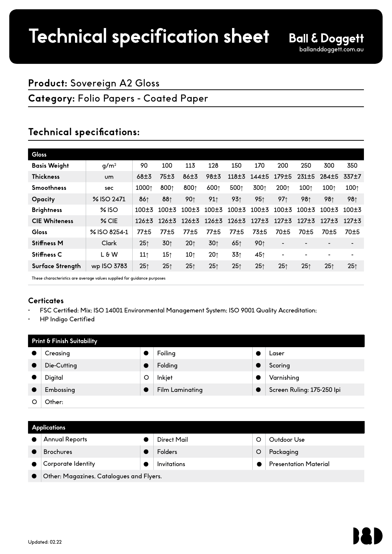# **Product:** Sovereign A2 Gloss

# **Category:** Folio Papers - Coated Paper

# **Technical specifications:**

| <b>Gloss</b>         |                  |                 |                 |                 |                 |                 |                 |                              |                 |                  |                   |
|----------------------|------------------|-----------------|-----------------|-----------------|-----------------|-----------------|-----------------|------------------------------|-----------------|------------------|-------------------|
| <b>Basis Weight</b>  | q/m <sup>2</sup> | 90              | 100             | 113             | 128             | 150             | 170             | 200                          | 250             | 300              | 350               |
| <b>Thickness</b>     | <b>um</b>        | $68 + 3$        | 75±3            | $86 + 3$        | 98±3            |                 | 118±3 144±5     | 179±5                        | 231±5           | 284±5            | 337 <sup>+7</sup> |
| <b>Smoothness</b>    | sec              | 10001           | 8001            | 8001            | 6001            | 5001            | 3001            | 2001                         | 1001            | 100 <sub>0</sub> | 1001              |
| <b>Opacity</b>       | % ISO 2471       | 861             | 881             | 901             | 91              | 93 <sub>1</sub> | 95 <sub>1</sub> | 97 <sub>1</sub>              | 981             | 981              | 981               |
| <b>Brightness</b>    | $%$ ISO          | $100+3$         | $100+3$         | $100+3$         | $100 \pm 3$     | $100 \pm 3$     | $100 + 3$       | $100 + 3$                    | $100+3$         | $100+3$          | $100+3$           |
| <b>CIE Whiteness</b> | $%$ CIE          | $126 + 3$       | $126 + 3$       | $126 + 3$       |                 | 126±3 126±3     | $127 + 3$       | $127 + 3$                    | $127 + 3$       | $127 + 3$        | $127 + 3$         |
| Gloss                | % ISO 8254-1     | 77±5            | 77±5            | 77±5            | 77±5            | 77±5            | $73+5$          | 70 <sup>±5</sup>             | $70 + 5$        | 70±5             | 70±5              |
| <b>Stiffness M</b>   | Clark            | 25 <sub>1</sub> | 30 <sub>1</sub> | 20 <sub>1</sub> | 30 <sub>0</sub> | 65 <sub>1</sub> | 90 <sub>0</sub> | $\qquad \qquad \blacksquare$ |                 |                  | $\blacksquare$    |
| <b>Stiffness C</b>   | $L \n 6 W$       | 11              | 15 <sub>1</sub> | 10 <sub>1</sub> | 20 <sub>1</sub> | 331             | 45↑             | $\overline{\phantom{a}}$     |                 |                  | $\blacksquare$    |
| Surface Strength     | wp ISO 3783      | 25 <sub>1</sub> | 25 <sub>1</sub> | 25 <sub>1</sub> | 25 <sub>1</sub> | 25 <sub>1</sub> | 25 <sub>1</sub> | 25 <sub>1</sub>              | 25 <sub>1</sub> | 25 <sub>1</sub>  | 25 <sub>1</sub>   |
|                      | .                |                 |                 |                 |                 |                 |                 |                              |                 |                  |                   |

These characteristics are average values supplied for guidance purposes

## **Certicates**

- FSC Certified: Mix; ISO 14001 Environmental Management System; ISO 9001 Quality Accreditation;
- HP Indigo Certified

| Print & Finish Suitability |             |   |                        |  |                            |  |
|----------------------------|-------------|---|------------------------|--|----------------------------|--|
|                            | Creasing    |   | Foiling                |  | Laser                      |  |
|                            | Die-Cutting |   | Folding                |  | Scoring                    |  |
|                            | Digital     | O | Inkjet                 |  | Varnishing                 |  |
|                            | Embossing   |   | <b>Film Laminating</b> |  | Screen Ruling: 175-250 Ipi |  |
|                            | Other:      |   |                        |  |                            |  |

#### **Applications**

| ---                                      |  |                |  |                              |  |  |  |
|------------------------------------------|--|----------------|--|------------------------------|--|--|--|
| <b>Annual Reports</b>                    |  | Direct Mail    |  | Outdoor Use                  |  |  |  |
| <b>Brochures</b>                         |  | <b>Folders</b> |  | Packaging                    |  |  |  |
| Corporate Identity                       |  | Invitations    |  | <b>Presentation Material</b> |  |  |  |
| Other: Magazines, Catalogues and Flyers. |  |                |  |                              |  |  |  |